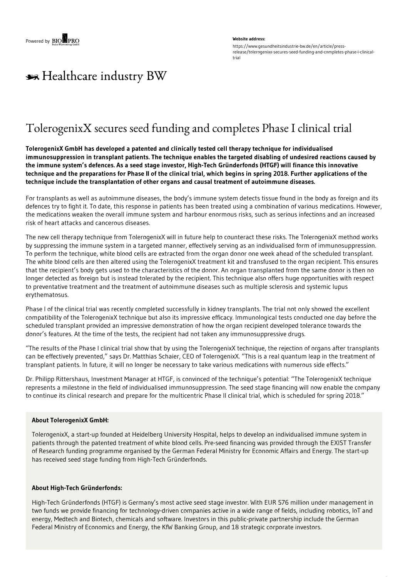#### **Website address:**

https://www.gesundheitsindustrie-bw.de/en/article/pressrelease/tolerogenixx-secures-seed-funding-and-completes-phase-i-clinicaltrial

# \*\* Healthcare industry BW

## TolerogenixX secures seed funding and completes Phase I clinical trial

**TolerogenixX GmbH has developed a patented and clinically tested cell therapy technique for individualised immunosuppression in transplant patients. The technique enables the targeted disabling of undesired reactions caused by** the immune system's defences. As a seed stage investor, High-Tech Gründerfonds (HTGF) will finance this innovative technique and the preparations for Phase II of the clinical trial, which begins in spring 2018. Further applications of the **technique include the transplantation of other organs and causal treatment of autoimmune diseases.**

For transplants as well as autoimmune diseases, the body's immune system detects tissue found in the body as foreign and its defences try to fight it. To date, this response in patients has been treated using a combination of various medications. However, the medications weaken the overall immune system and harbour enormous risks, such as serious infections and an increased risk of heart attacks and cancerous diseases.

The new cell therapy technique from TolerogenixX will in future help to counteract these risks. The TolerogenixX method works by suppressing the immune system in a targeted manner, effectively serving as an individualised form of immunosuppression. To perform the technique, white blood cells are extracted from the organ donor one week ahead of the scheduled transplant. The white blood cells are then altered using the TolerogenixX treatment kit and transfused to the organ recipient. This ensures that the recipient's body gets used to the characteristics of the donor. An organ transplanted from the same donor is then no longer detected as foreign but is instead tolerated by the recipient. This technique also offers huge opportunities with respect to preventative treatment and the treatment of autoimmune diseases such as multiple sclerosis and systemic lupus erythematosus.

Phase I of the clinical trial was recently completed successfully in kidney transplants. The trial not only showed the excellent compatibility of the TolerogenixX technique but also its impressive efficacy. Immunological tests conducted one day before the scheduled transplant provided an impressive demonstration of how the organ recipient developed tolerance towards the donor's features. At the time of the tests, the recipient had not taken any immunosuppressive drugs.

"The results of the Phase I clinical trial show that by using the TolerogenixX technique, the rejection of organs after transplants can be effectively prevented," says Dr. Matthias Schaier, CEO of TolerogenixX. "This is a real quantum leap in the treatment of transplant patients. In future, it will no longer be necessary to take various medications with numerous side effects."

Dr. Philipp Rittershaus, Investment Manager at HTGF, is convinced of the technique's potential: "The TolerogenixX technique represents a milestone in the field of individualised immunosuppression. The seed stage financing will now enable the company to continue its clinical research and prepare for the multicentric Phase II clinical trial, which is scheduled for spring 2018."

#### **About TolerogenixX GmbH:**

TolerogenixX, a start-up founded at Heidelberg University Hospital, helps to develop an individualised immune system in patients through the patented treatment of white blood cells. Pre-seed financing was provided through the EXIST Transfer of Research funding programme organised by the German Federal Ministry for Economic Affairs and Energy. The start-up has received seed stage funding from High-Tech Gründerfonds.

#### **About High-Tech Gründerfonds:**

High-Tech Gründerfonds (HTGF) is Germany's most active seed stage investor. With EUR 576 million under management in two funds we provide financing for technology-driven companies active in a wide range of fields, including robotics, IoT and energy, Medtech and Biotech, chemicals and software. Investors in this public-private partnership include the German Federal Ministry of Economics and Energy, the KfW Banking Group, and 18 strategic corporate investors.